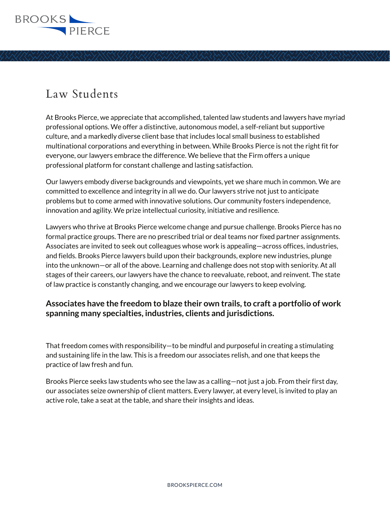

At Brooks Pierce, we appreciate that accomplished, talented law students and lawyers have myriad professional options. We offer a distinctive, autonomous model, a self-reliant but supportive culture, and a markedly diverse client base that includes local small business to established multinational corporations and everything in between. While Brooks Pierce is not the right fit for everyone, our lawyers embrace the difference. We believe that the Firm offers a unique professional platform for constant challenge and lasting satisfaction.

Our lawyers embody diverse backgrounds and viewpoints, yet we share much in common. We are committed to excellence and integrity in all we do. Our lawyers strive not just to anticipate problems but to come armed with innovative solutions. Our community fosters independence, innovation and agility. We prize intellectual curiosity, initiative and resilience.

Lawyers who thrive at Brooks Pierce welcome change and pursue challenge. Brooks Pierce has no formal practice groups. There are no prescribed trial or deal teams nor fixed partner assignments. Associates are invited to seek out colleagues whose work is appealing—across offices, industries, and fields. Brooks Pierce lawyers build upon their backgrounds, explore new industries, plunge into the unknown—or all of the above. Learning and challenge does not stop with seniority. At all stages of their careers, our lawyers have the chance to reevaluate, reboot, and reinvent. The state of law practice is constantly changing, and we encourage our lawyers to keep evolving.

#### **Associates have the freedom to blaze their own trails, to craft a portfolio of work spanning many specialties, industries, clients and jurisdictions.**

That freedom comes with responsibility—to be mindful and purposeful in creating a stimulating and sustaining life in the law. This is a freedom our associates relish, and one that keeps the practice of law fresh and fun.

Brooks Pierce seeks law students who see the law as a calling—not just a job. From their first day, our associates seize ownership of client matters. Every lawyer, at every level, is invited to play an active role, take a seat at the table, and share their insights and ideas.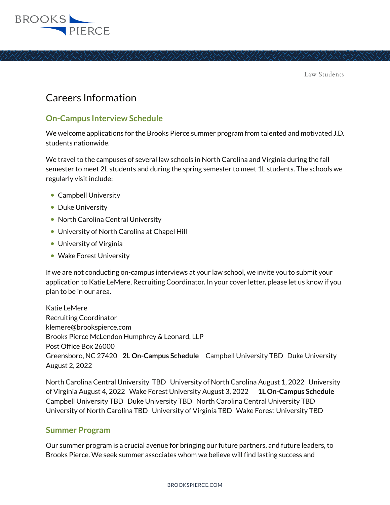

## Careers Information

#### **On-Campus Interview Schedule**

We welcome applications for the Brooks Pierce summer program from talented and motivated J.D. students nationwide.

We travel to the campuses of several law schools in North Carolina and Virginia during the fall semester to meet 2L students and during the spring semester to meet 1L students. The schools we regularly visit include:

- Campbell University
- Duke University
- North Carolina Central University
- University of North Carolina at Chapel Hill
- University of Virginia
- Wake Forest University

If we are not conducting on-campus interviews at your law school, we invite you to submit your application to Katie LeMere, Recruiting Coordinator. In your cover letter, please let us know if you plan to be in our area.

Katie LeMere Recruiting Coordinator klemere@brookspierce.com Brooks Pierce McLendon Humphrey & Leonard, LLP Post Office Box 26000 Greensboro, NC 27420 **2L On-Campus Schedule** Campbell University TBD Duke University August 2, 2022

North Carolina Central University TBD University of North Carolina August 1, 2022 University of Virginia August 4, 2022 Wake Forest University August 3, 2022 **1L On-Campus Schedule** Campbell University TBD Duke University TBD North Carolina Central University TBD University of North Carolina TBD University of Virginia TBD Wake Forest University TBD

#### **Summer Program**

Our summer program is a crucial avenue for bringing our future partners, and future leaders, to Brooks Pierce. We seek summer associates whom we believe will find lasting success and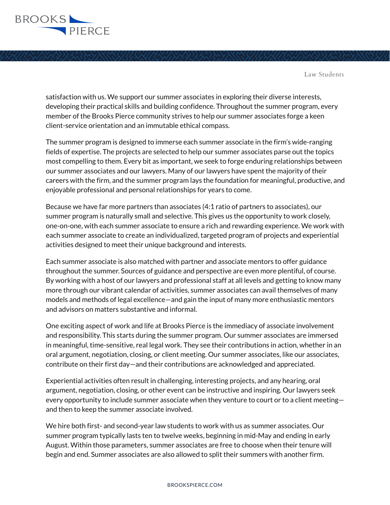

satisfaction with us. We support our summer associates in exploring their diverse interests, developing their practical skills and building confidence. Throughout the summer program, every member of the Brooks Pierce community strives to help our summer associates forge a keen client-service orientation and an immutable ethical compass.

The summer program is designed to immerse each summer associate in the firm's wide-ranging fields of expertise. The projects are selected to help our summer associates parse out the topics most compelling to them. Every bit as important, we seek to forge enduring relationships between our summer associates and our lawyers. Many of our lawyers have spent the majority of their careers with the firm, and the summer program lays the foundation for meaningful, productive, and enjoyable professional and personal relationships for years to come.

Because we have far more partners than associates (4:1 ratio of partners to associates), our summer program is naturally small and selective. This gives us the opportunity to work closely, one-on-one, with each summer associate to ensure a rich and rewarding experience. We work with each summer associate to create an individualized, targeted program of projects and experiential activities designed to meet their unique background and interests.

Each summer associate is also matched with partner and associate mentors to offer guidance throughout the summer. Sources of guidance and perspective are even more plentiful, of course. By working with a host of our lawyers and professional staff at all levels and getting to know many more through our vibrant calendar of activities, summer associates can avail themselves of many models and methods of legal excellence—and gain the input of many more enthusiastic mentors and advisors on matters substantive and informal.

One exciting aspect of work and life at Brooks Pierce is the immediacy of associate involvement and responsibility. This starts during the summer program. Our summer associates are immersed in meaningful, time-sensitive, real legal work. They see their contributions in action, whether in an oral argument, negotiation, closing, or client meeting. Our summer associates, like our associates, contribute on their first day—and their contributions are acknowledged and appreciated.

Experiential activities often result in challenging, interesting projects, and any hearing, oral argument, negotiation, closing, or other event can be instructive and inspiring. Our lawyers seek every opportunity to include summer associate when they venture to court or to a client meeting and then to keep the summer associate involved.

We hire both first- and second-year law students to work with us as summer associates. Our summer program typically lasts ten to twelve weeks, beginning in mid-May and ending in early August. Within those parameters, summer associates are free to choose when their tenure will begin and end. Summer associates are also allowed to split their summers with another firm.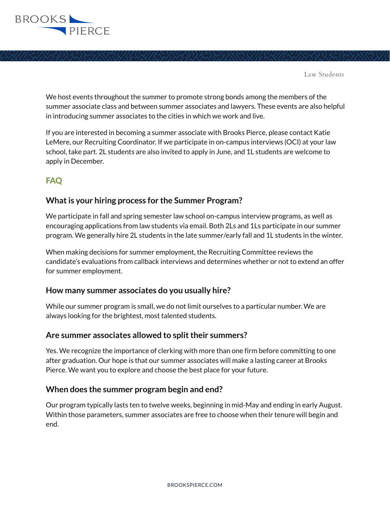

We host events throughout the summer to promote strong bonds among the members of the summer associate class and between summer associates and lawyers. These events are also helpful in introducing summer associates to the cities in which we work and live.

If you are interested in becoming a summer associate with Brooks Pierce, please contact Katie LeMere, our Recruiting Coordinator. If we participate in on-campus interviews (OCI) at your law school, take part. 2L students are also invited to apply in June, and 1L students are welcome to apply in December.

## **FAQ**

#### **What is your hiring process for the Summer Program?**

We participate in fall and spring semester law school on-campus interview programs, as well as encouraging applications from law students via email. Both 2Ls and 1Ls participate in our summer program. We generally hire 2L students in the late summer/early fall and 1L students in the winter.

When making decisions for summer employment, the Recruiting Committee reviews the candidate's evaluations from callback interviews and determines whether or not to extend an offer for summer employment.

#### **How many summer associates do you usually hire?**

While our summer program is small, we do not limit ourselves to a particular number. We are always looking for the brightest, most talented students.

#### **Are summer associates allowed to split their summers?**

Yes. We recognize the importance of clerking with more than one firm before committing to one after graduation. Our hope is that our summer associates will make a lasting career at Brooks Pierce. We want you to explore and choose the best place for your future.

#### **When does the summer program begin and end?**

Our program typically lasts ten to twelve weeks, beginning in mid-May and ending in early August. Within those parameters, summer associates are free to choose when their tenure will begin and end.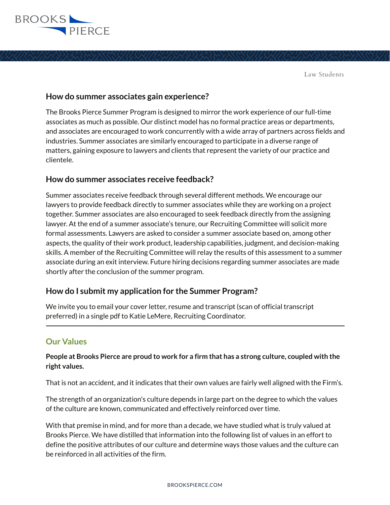

#### **How do summer associates gain experience?**

The Brooks Pierce Summer Program is designed to mirror the work experience of our full-time associates as much as possible. Our distinct model has no formal practice areas or departments, and associates are encouraged to work concurrently with a wide array of partners across fields and industries. Summer associates are similarly encouraged to participate in a diverse range of matters, gaining exposure to lawyers and clients that represent the variety of our practice and clientele.

#### **How do summer associates receive feedback?**

Summer associates receive feedback through several different methods. We encourage our lawyers to provide feedback directly to summer associates while they are working on a project together. Summer associates are also encouraged to seek feedback directly from the assigning lawyer. At the end of a summer associate's tenure, our Recruiting Committee will solicit more formal assessments. Lawyers are asked to consider a summer associate based on, among other aspects, the quality of their work product, leadership capabilities, judgment, and decision-making skills. A member of the Recruiting Committee will relay the results of this assessment to a summer associate during an exit interview. Future hiring decisions regarding summer associates are made shortly after the conclusion of the summer program.

#### **How do I submit my application for the Summer Program?**

We invite you to email your cover letter, resume and transcript (scan of official transcript preferred) in a single pdf to Katie LeMere, Recruiting Coordinator. .<br>-

### **Our Values**

**People at Brooks Pierce are proud to work for a firm that has a strong culture, coupled with the right values.** 

That is not an accident, and it indicates that their own values are fairly well aligned with the Firm's.

The strength of an organization's culture depends in large part on the degree to which the values of the culture are known, communicated and effectively reinforced over time.

With that premise in mind, and for more than a decade, we have studied what is truly valued at Brooks Pierce. We have distilled that information into the following list of values in an effort to define the positive attributes of our culture and determine ways those values and the culture can be reinforced in all activities of the firm.